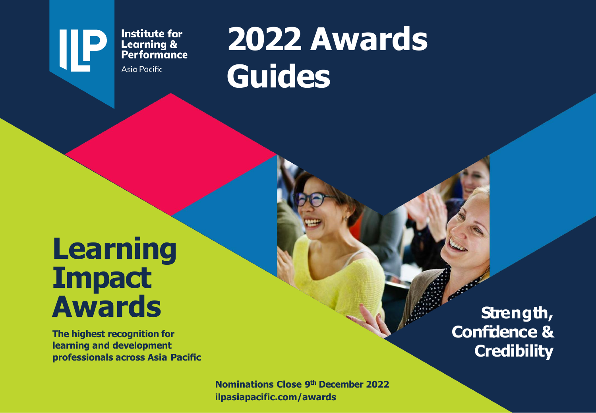

**Institute for** Learning &<br>Performance Asia Pacific

# **2022 Awards Guides**

### **Learning Impact Awards**

**The highest recognition for learning and development professionals across Asia Pacific**

> **Nominations Close 9th December 2022 ilpasiapacific.com/awards**

**Strength, Confidence & Credibility**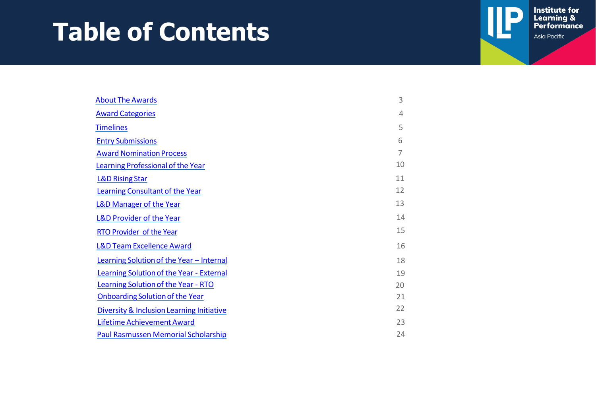### <span id="page-1-0"></span>**Table of Contents**



**Institute for Learning & Performance** 

Asia Pacific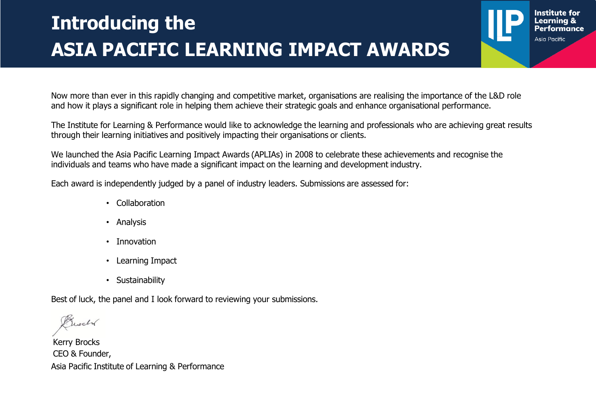### <span id="page-2-0"></span>**Introducing the ASIA PACIFIC LEARNING IMPACT AWARDS**

Now more than ever in this rapidly changing and competitive market, organisations are realising the importance of the L&D role and how it plays a significant role in helping them achieve their strategic goals and enhance organisational performance.

**Institute for** Learnina & Performance Asia Pacific

The Institute for Learning & Performance would like to acknowledge the learning and professionals who are achieving great results through their learning initiatives and positively impacting their organisations or clients.

We launched the Asia Pacific Learning Impact Awards (APLIAs) in 2008 to celebrate these achievements and recognise the individuals and teams who have made a significant impact on the learning and development industry.

Each award is independently judged by a panel of industry leaders. Submissions are assessed for:

- Collaboration
- Analysis
- Innovation
- Learning Impact
- Sustainability

Best of luck, the panel and I look forward to reviewing your submissions.

Tweld

Kerry Brocks CEO & Founder, Asia Pacific Institute of Learning & Performance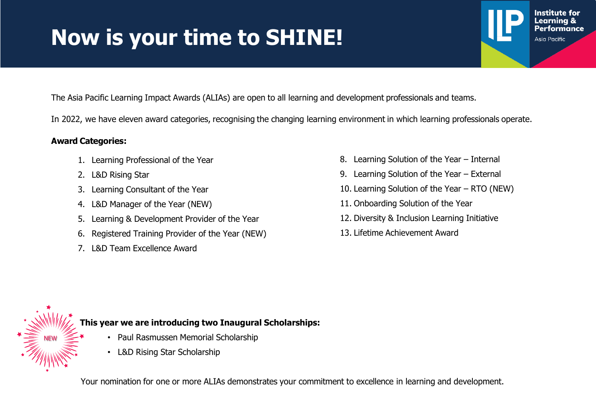### **Now is your time to SHINE!**

The Asia Pacific Learning Impact Awards (ALIAs) are open to all learning and development professionals and teams.

In 2022, we have eleven award categories, recognising the changing learning environment in which learning professionals operate.

#### **Award Categories:**

NEW

- 1. Learning Professional of the Year
- 2. L&D Rising Star
- 3. Learning Consultant of the Year
- 4. L&D Manager of the Year (NEW)
- 5. Learning & Development Provider of the Year
- 6. Registered Training Provider of the Year (NEW)
- 7. L&D Team Excellence Award
- 8. Learning Solution of the Year Internal
- 9. Learning Solution of the Year External
- 10. Learning Solution of the Year RTO (NEW)

Institute for Learnina &

Asia Pacific

- 11. Onboarding Solution of the Year
- 12. Diversity & Inclusion Learning Initiative
- 13. Lifetime Achievement Award

#### **This year we are introducing two Inaugural Scholarships:**

- Paul Rasmussen Memorial Scholarship
- L&D Rising Star Scholarship

Your nomination for one or more ALIAs demonstrates your commitment to excellence in learning and development.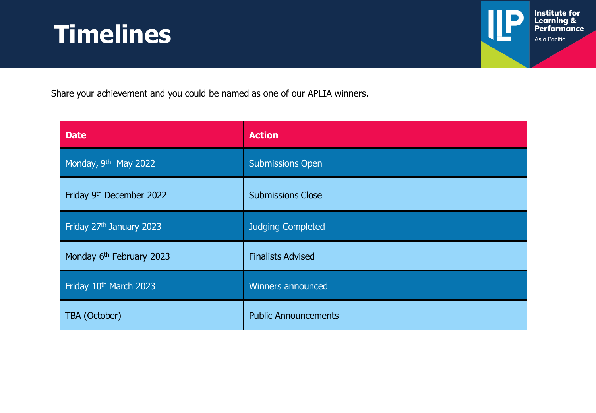### **Timelines**



Share your achievement and you could be named as one of our APLIA winners.

| <b>Date</b>                          | <b>Action</b>               |
|--------------------------------------|-----------------------------|
| Monday, 9 <sup>th</sup> May 2022     | <b>Submissions Open</b>     |
| Friday 9th December 2022             | <b>Submissions Close</b>    |
| Friday 27th January 2023             | <b>Judging Completed</b>    |
| Monday 6 <sup>th</sup> February 2023 | <b>Finalists Advised</b>    |
| Friday 10th March 2023               | <b>Winners announced</b>    |
| TBA (October)                        | <b>Public Announcements</b> |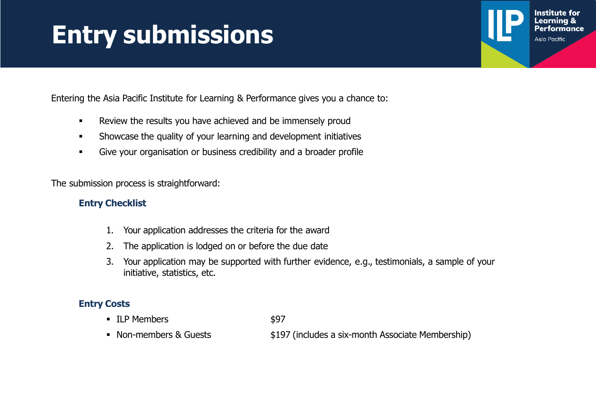### <span id="page-5-0"></span>**Entry submissions**

Entering the Asia Pacific Institute for Learning & Performance gives you a chance to:

- Review the results you have achieved and be immensely proud
- **EXEDEN** Showcase the quality of your learning and development initiatives
- Give your organisation or business credibility and a broader profile

The submission process is straightforward:

#### **Entry Checklist**

- 1. Your application addresses the criteria for the award
- 2. The application is lodged on or before the due date
- 3. Your application may be supported with further evidence, e.g., testimonials, a sample of your initiative, statistics, etc.

Institute for Learnina 8

Asia Pacific

#### **Entry Costs**

- ILP Members \$97
- Non-members & Guests \$197 (includes a six-month Associate Membership)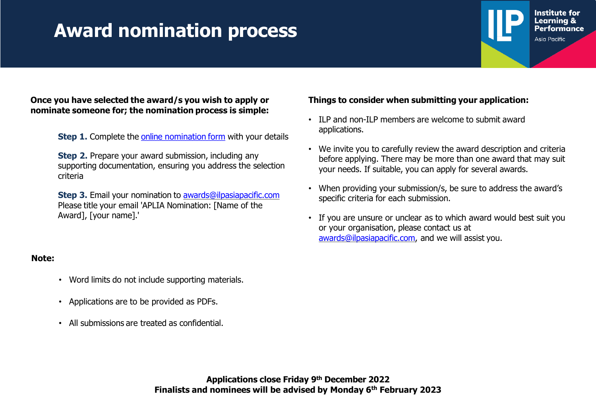### **Award nomination process**

#### **Once you have selected the award/s you wish to apply or nominate someone for; the nomination process is simple:**

**Step 1.** Complete the [online nomination](https://www.surveymonkey.com/r/alia2022) form with your details

**Step 2.** Prepare your award submission, including any supporting documentation, ensuring you address the selection criteria

**Step 3.** Email your nomination to [awards@ilpasiapacific.com](mailto:admin@ilpasiapacific.com) Please title your email 'APLIA Nomination: [Name of the Award], [your name].'

#### **Things to consider when submitting your application:**

- ILP and non-ILP members are welcome to submit award applications.
- We invite you to carefully review the award description and criteria before applying. There may be more than one award that may suit your needs. If suitable, you can apply for several awards.

**Institute for Learning &** Performance Asia Pacific

- When providing your submission/s, be sure to address the award's specific criteria for each submission.
- If you are unsure or unclear as to which award would best suit you or your organisation, please contact us at [awards@ilpasiapacific.com](mailto:awards@ilpasiapacific.com), and we will assist you.

#### **Note:**

- Word limits do not include supporting materials.
- Applications are to be provided as PDFs.
- All submissions are treated as confidential.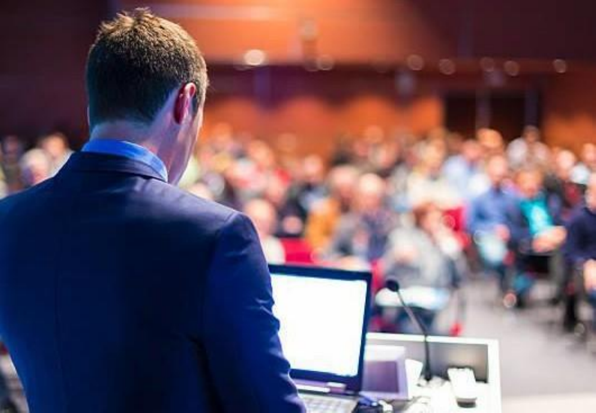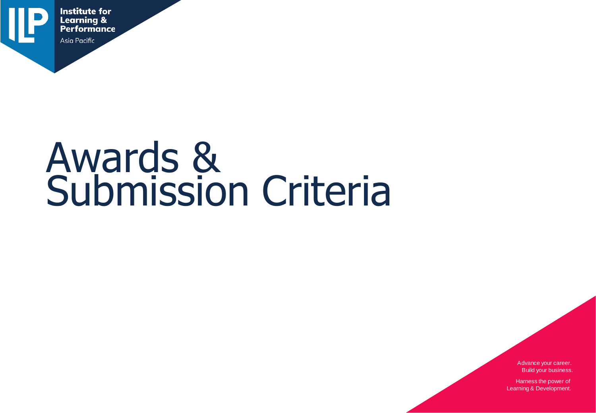<span id="page-8-0"></span>**Institute for Learning &** Performance Asia Pacific

# Awards & Submission Criteria

Advance your career. Build your business.

Harness the power of Learning & Development.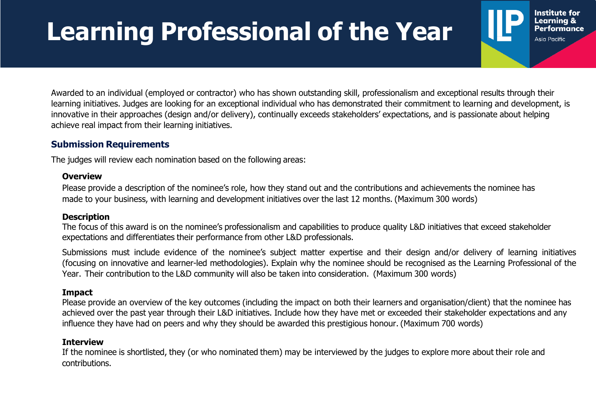## <span id="page-9-0"></span>**Learning Professional of the Year**

Awarded to an individual (employed or contractor) who has shown outstanding skill, professionalism and exceptional results through their learning initiatives. Judges are looking for an exceptional individual who has demonstrated their commitment to learning and development, is innovative in their approaches (design and/or delivery), continually exceeds stakeholders' expectations, and is passionate about helping achieve real impact from their learning initiatives.

**Institute for** Learnina & Performance Asia Pacific

#### **Submission Requirements**

The judges will review each nomination based on the following areas:

#### **Overview**

Please provide a description of the nominee's role, how they stand out and the contributions and achievements the nominee has made to your business, with learning and development initiatives over the last 12 months. (Maximum 300 words)

#### **Description**

The focus of this award is on the nominee's professionalism and capabilities to produce quality L&D initiatives that exceed stakeholder expectations and differentiates their performance from other L&D professionals.

Submissions must include evidence of the nominee's subject matter expertise and their design and/or delivery of learning initiatives (focusing on innovative and learner-led methodologies). Explain why the nominee should be recognised as the Learning Professional of the Year. Their contribution to the L&D community will also be taken into consideration. (Maximum 300 words)

#### **Impact**

Please provide an overview of the key outcomes (including the impact on both their learners and organisation/client) that the nominee has achieved over the past year through their L&D initiatives. Include how they have met or exceeded their stakeholder expectations and any influence they have had on peers and why they should be awarded this prestigious honour. (Maximum 700 words)

#### **Interview**

If the nominee is shortlisted, they (or who nominated them) may be interviewed by the judges to explore more about their role and contributions.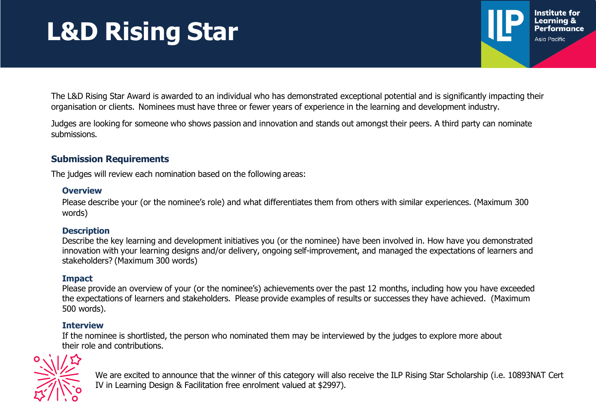# **L&D Rising Star**

The L&D Rising Star Award is awarded to an individual who has demonstrated exceptional potential and is significantly impacting their organisation or clients. Nominees must have three or fewer years of experience in the learning and development industry.

**Institute for** Learning & Performance Asia Pacific

Judges are looking for someone who shows passion and innovation and stands out amongst their peers. A third party can nominate submissions.

#### **Submission Requirements**

The judges will review each nomination based on the following areas:

#### **Overview**

Please describe your (or the nominee's role) and what differentiates them from others with similar experiences. (Maximum 300 words)

#### **Description**

Describe the key learning and development initiatives you (or the nominee) have been involved in. How have you demonstrated innovation with your learning designs and/or delivery, ongoing self-improvement, and managed the expectations of learners and stakeholders? (Maximum 300 words)

#### **Impact**

Please provide an overview of your (or the nominee's) achievements over the past 12 months, including how you have exceeded the expectations of learners and stakeholders. Please provide examples of results or successes they have achieved. (Maximum 500 words).

#### **Interview**

If the nominee is shortlisted, the person who nominated them may be interviewed by the judges to explore more about their role and contributions.



We are excited to announce that the winner of this category will also receive the ILP Rising Star Scholarship (i.e. 10893NAT Cert IV in Learning Design & Facilitation free enrolment valued at \$2997).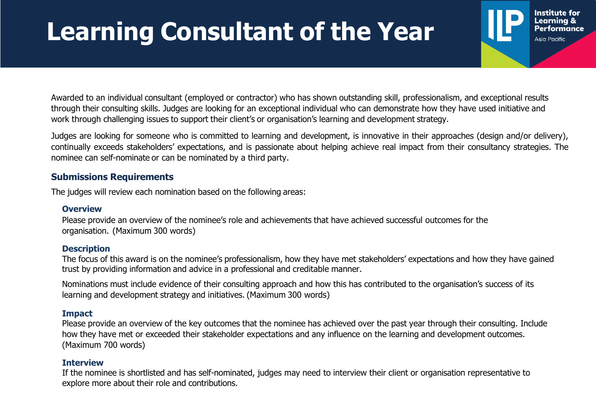### **Learning Consultant of the Year**

Awarded to an individual consultant (employed or contractor) who has shown outstanding skill, professionalism, and exceptional results through their consulting skills. Judges are looking for an exceptional individual who can demonstrate how they have used initiative and work through challenging issues to support their client's or organisation's learning and development strategy.

Judges are looking for someone who is committed to learning and development, is innovative in their approaches (design and/or delivery), continually exceeds stakeholders' expectations, and is passionate about helping achieve real impact from their consultancy strategies. The nominee can self-nominate or can be nominated by a third party.

**Institute for Learning &** Performance Asia Pacific

#### **Submissions Requirements**

The judges will review each nomination based on the following areas:

#### **Overview**

Please provide an overview of the nominee's role and achievements that have achieved successful outcomes for the organisation. (Maximum 300 words)

#### **Description**

The focus of this award is on the nominee's professionalism, how they have met stakeholders' expectations and how they have gained trust by providing information and advice in a professional and creditable manner.

Nominations must include evidence of their consulting approach and how this has contributed to the organisation's success of its learning and development strategy and initiatives. (Maximum 300 words)

#### **Impact**

Please provide an overview of the key outcomes that the nominee has achieved over the past year through their consulting. Include how they have met or exceeded their stakeholder expectations and any influence on the learning and development outcomes. (Maximum 700 words)

#### **Interview**

If the nominee is shortlisted and has self-nominated, judges may need to interview their client or organisation representative to explore more about their role and contributions.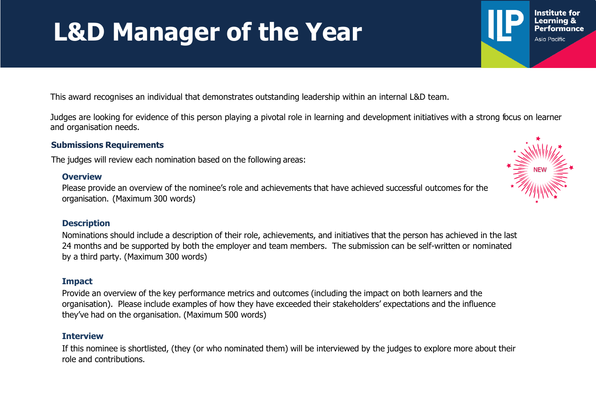# <span id="page-12-0"></span>**L&D Manager of the Year**

This award recognises an individual that demonstrates outstanding leadership within an internal L&D team.

Judges are looking for evidence of this person playing a pivotal role in learning and development initiatives with a strong focus on learner and organisation needs.

#### **Submissions Requirements**

The judges will review each nomination based on the following areas:

#### **Overview**

Please provide an overview of the nominee's role and achievements that have achieved successful outcomes for the organisation. (Maximum 300 words)

#### **Description**

Nominations should include a description of their role, achievements, and initiatives that the person has achieved in the last 24 months and be supported by both the employer and team members. The submission can be self-written or nominated by a third party. (Maximum 300 words)

#### **Impact**

Provide an overview of the key performance metrics and outcomes (including the impact on both learners and the organisation). Please include examples of how they have exceeded their stakeholders' expectations and the influence they've had on the organisation. (Maximum 500 words)

#### **Interview**

If this nominee is shortlisted, (they (or who nominated them) will be interviewed by the judges to explore more about their role and contributions.

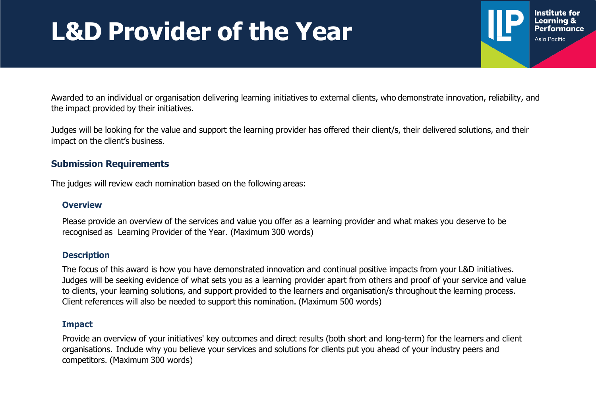### **L&D Provider of the Year**

Awarded to an individual or organisation delivering learning initiatives to external clients, who demonstrate innovation, reliability, and the impact provided by their initiatives.

Institute for Learnina &

Asia Pacific

Judges will be looking for the value and support the learning provider has offered their client/s, their delivered solutions, and their impact on the client's business.

#### **Submission Requirements**

The judges will review each nomination based on the following areas:

#### **Overview**

Please provide an overview of the services and value you offer as a learning provider and what makes you deserve to be recognised as Learning Provider of the Year. (Maximum 300 words)

#### **Description**

The focus of this award is how you have demonstrated innovation and continual positive impacts from your L&D initiatives. Judges will be seeking evidence of what sets you as a learning provider apart from others and proof of your service and value to clients, your learning solutions, and support provided to the learners and organisation/s throughout the learning process. Client references will also be needed to support this nomination. (Maximum 500 words)

#### **Impact**

Provide an overview of your initiatives' key outcomes and direct results (both short and long-term) for the learners and client organisations. Include why you believe your services and solutions for clients put you ahead of your industry peers and competitors. (Maximum 300 words)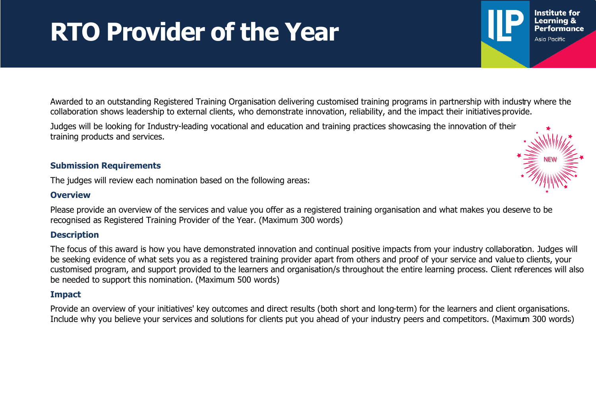### <span id="page-14-0"></span>**RTO Provider of the Year**

Awarded to an outstanding Registered Training Organisation delivering customised training programs in partnership with industry where the collaboration shows leadership to external clients, who demonstrate innovation, reliability, and the impact their initiatives provide.

Judges will be looking for Industry-leading vocational and education and training practices showcasing the innovation of their training products and services.

#### **Submission Requirements**

The judges will review each nomination based on the following areas:

#### **Overview**

Please provide an overview of the services and value you offer as a registered training organisation and what makes you deserve to be recognised as Registered Training Provider of the Year. (Maximum 300 words)

#### **Description**

The focus of this award is how you have demonstrated innovation and continual positive impacts from your industry collaboration. Judges will be seeking evidence of what sets you as a registered training provider apart from others and proof of your service and value to clients, your customised program, and support provided to the learners and organisation/s throughout the entire learning process. Client references will also be needed to support this nomination. (Maximum 500 words)

#### **Impact**

Provide an overview of your initiatives' key outcomes and direct results (both short and long-term) for the learners and client organisations. Include why you believe your services and solutions for clients put you ahead of your industry peers and competitors. (Maximum 300 words)



Institute for Learnina & Performance Asia Pacific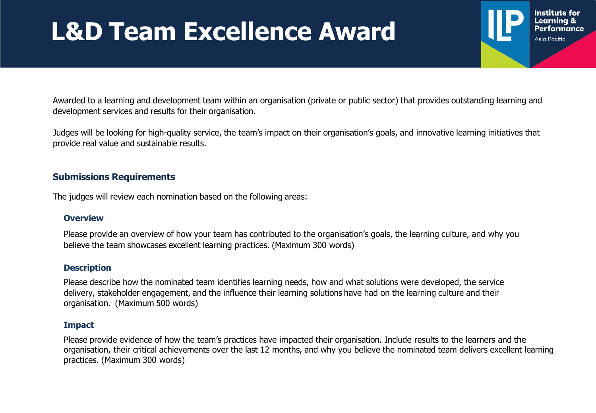### **L&D Team Excellence Award**

Awarded to a learning and development team within an organisation (private or public sector) that provides outstanding learning and development services and results for their organisation.

**Institute for** Learnina &

Asia Pacific

Judges will be looking for high-quality service, the team's impact on their organisation's goals, and innovative learning initiatives that provide real value and sustainable results.

#### **Submissions Requirements**

The judges will review each nomination based on the following areas:

#### **Overview**

Please provide an overview of how your team has contributed to the organisation's goals, the learning culture, and why you believe the team showcases excellent learning practices. (Maximum 300 words)

#### **Description**

Please describe how the nominated team identifies learning needs, how and what solutions were developed, the service delivery, stakeholder engagement, and the influence their learning solutions have had on the learning culture and their organisation. (Maximum 500 words)

#### **Impact**

Please provide evidence of how the team's practices have impacted their organisation. Include results to the learners and the organisation, their critical achievements over the last 12 months, and why you believe the nominated team delivers excellent learning practices. (Maximum 300 words)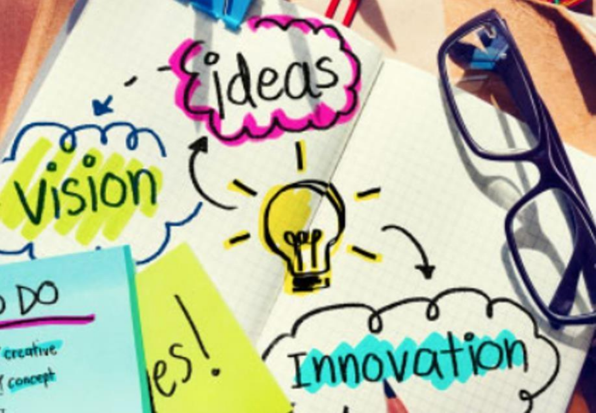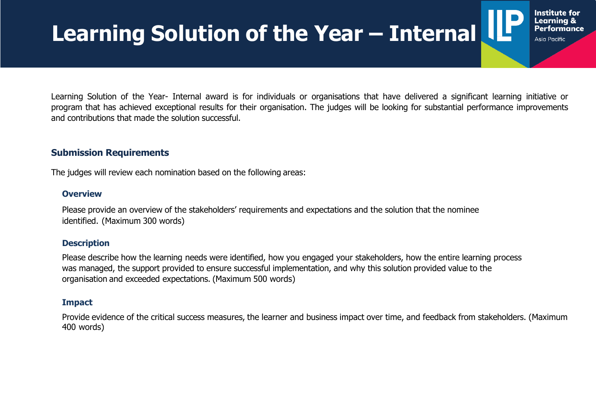### <span id="page-17-0"></span>**Learning Solution of the Year – Internal**

**Institute for** Learnina & Performance Asia Pacific

Learning Solution of the Year- Internal award is for individuals or organisations that have delivered a significant learning initiative or program that has achieved exceptional results for their organisation. The judges will be looking for substantial performance improvements and contributions that made the solution successful.

#### **Submission Requirements**

The judges will review each nomination based on the following areas:

#### **Overview**

Please provide an overview of the stakeholders' requirements and expectations and the solution that the nominee identified. (Maximum 300 words)

#### **Description**

Please describe how the learning needs were identified, how you engaged your stakeholders, how the entire learning process was managed, the support provided to ensure successful implementation, and why this solution provided value to the organisation and exceeded expectations. (Maximum 500 words)

#### **Impact**

Provide evidence of the critical success measures, the learner and business impact over time, and feedback from stakeholders. (Maximum 400 words)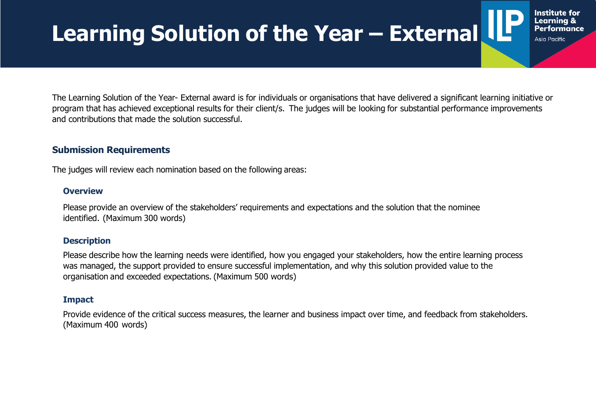### **Learning Solution of the Year – External**

**Institute for** Learnina & Performance Asia Pacific

The Learning Solution of the Year- External award is for individuals or organisations that have delivered a significant learning initiative or program that has achieved exceptional results for their client/s. The judges will be looking for substantial performance improvements and contributions that made the solution successful.

#### **Submission Requirements**

The judges will review each nomination based on the following areas:

#### **Overview**

Please provide an overview of the stakeholders' requirements and expectations and the solution that the nominee identified. (Maximum 300 words)

#### **Description**

Please describe how the learning needs were identified, how you engaged your stakeholders, how the entire learning process was managed, the support provided to ensure successful implementation, and why this solution provided value to the organisation and exceeded expectations. (Maximum 500 words)

#### **Impact**

Provide evidence of the critical success measures, the learner and business impact over time, and feedback from stakeholders. (Maximum 400 words)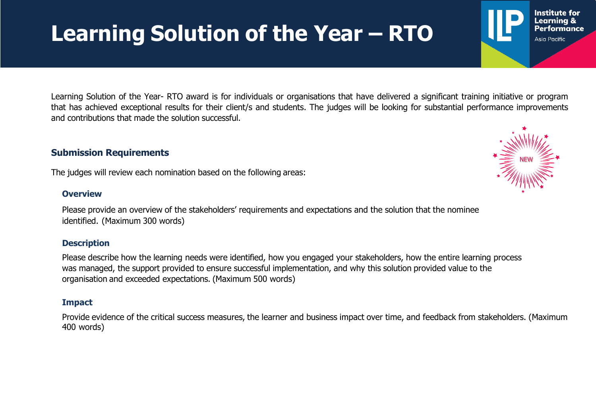### **Learning Solution of the Year – RTO**

Learning Solution of the Year- RTO award is for individuals or organisations that have delivered a significant training initiative or program that has achieved exceptional results for their client/s and students. The judges will be looking for substantial performance improvements and contributions that made the solution successful.

#### **Submission Requirements**

The judges will review each nomination based on the following areas:

#### **Overview**

Please provide an overview of the stakeholders' requirements and expectations and the solution that the nominee identified. (Maximum 300 words)

#### **Description**

Please describe how the learning needs were identified, how you engaged your stakeholders, how the entire learning process was managed, the support provided to ensure successful implementation, and why this solution provided value to the organisation and exceeded expectations. (Maximum 500 words)

#### **Impact**

Provide evidence of the critical success measures, the learner and business impact over time, and feedback from stakeholders. (Maximum 400 words)



**Institute for** Learnina & Performance Asia Pacific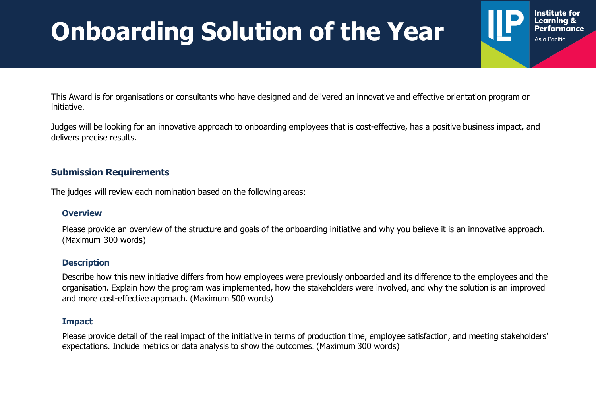## **Onboarding Solution of the Year**

This Award is for organisations or consultants who have designed and delivered an innovative and effective orientation program or initiative.

**Institute for** Learnina & Performance Asia Pacific

Judges will be looking for an innovative approach to onboarding employees that is cost-effective, has a positive business impact, and delivers precise results.

#### **Submission Requirements**

The judges will review each nomination based on the following areas:

#### **Overview**

Please provide an overview of the structure and goals of the onboarding initiative and why you believe it is an innovative approach. (Maximum 300 words)

#### **Description**

Describe how this new initiative differs from how employees were previously onboarded and its difference to the employees and the organisation. Explain how the program was implemented, how the stakeholders were involved, and why the solution is an improved and more cost-effective approach. (Maximum 500 words)

#### **Impact**

Please provide detail of the real impact of the initiative in terms of production time, employee satisfaction, and meeting stakeholders' expectations. Include metrics or data analysis to show the outcomes. (Maximum 300 words)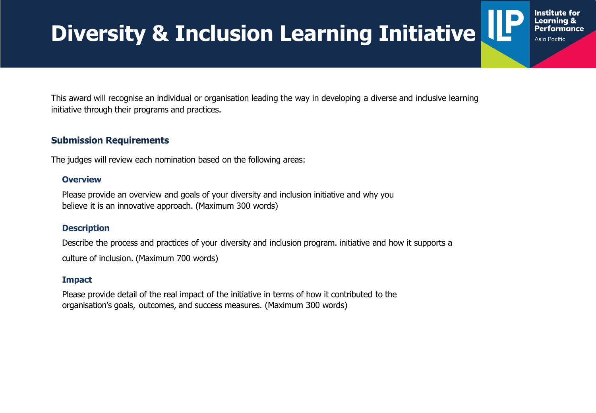# **Diversity & Inclusion Learning Initiative**

**Institute for** Learnina & Performance Asia Pacific

This award will recognise an individual or organisation leading the way in developing a diverse and inclusive learning initiative through their programs and practices.

#### **Submission Requirements**

The judges will review each nomination based on the following areas:

#### **Overview**

Please provide an overview and goals of your diversity and inclusion initiative and why you believe it is an innovative approach. (Maximum 300 words)

#### **Description**

Describe the process and practices of your diversity and inclusion program. initiative and how it supports a culture of inclusion. (Maximum 700 words)

#### **Impact**

Please provide detail of the real impact of the initiative in terms of how it contributed to the organisation's goals, outcomes, and success measures. (Maximum 300 words)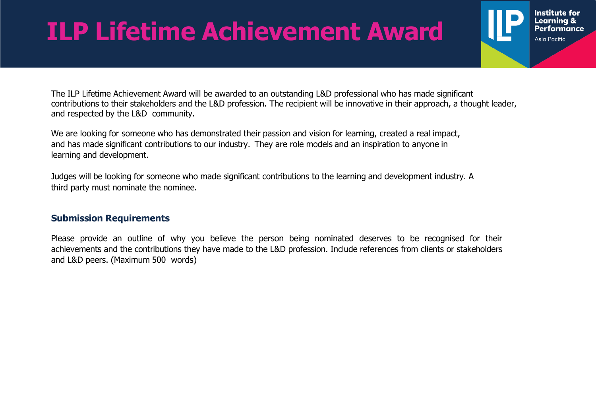### **ILP Lifetime Achievement Award**

The ILP Lifetime Achievement Award will be awarded to an outstanding L&D professional who has made significant contributions to their stakeholders and the L&D profession. The recipient will be innovative in their approach, a thought leader, and respected by the L&D community.

**Institute for** Learnina & Performance Asia Pacific

We are looking for someone who has demonstrated their passion and vision for learning, created a real impact, and has made significant contributions to our industry. They are role models and an inspiration to anyone in learning and development.

Judges will be looking for someone who made significant contributions to the learning and development industry. A third party must nominate the nominee.

#### **Submission Requirements**

Please provide an outline of why you believe the person being nominated deserves to be recognised for their achievements and the contributions they have made to the L&D profession. Include references from clients or stakeholders and L&D peers. (Maximum 500 words)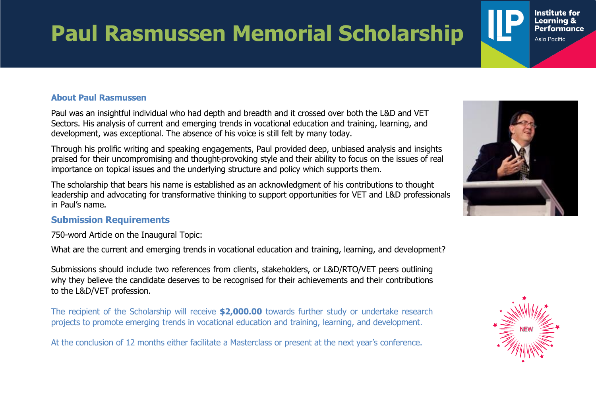### **Paul Rasmussen Memorial Scholarship**

#### **About Paul Rasmussen**

Paul was an insightful individual who had depth and breadth and it crossed over both the L&D and VET Sectors. His analysis of current and emerging trends in vocational education and training, learning, and development, was exceptional. The absence of his voice is still felt by many today.

Through his prolific writing and speaking engagements, Paul provided deep, unbiased analysis and insights praised for their uncompromising and thought-provoking style and their ability to focus on the issues of real importance on topical issues and the underlying structure and policy which supports them.

The scholarship that bears his name is established as an acknowledgment of his contributions to thought leadership and advocating for transformative thinking to support opportunities for VET and L&D professionals in Paul's name.

#### **Submission Requirements**

750-word Article on the Inaugural Topic:

What are the current and emerging trends in vocational education and training, learning, and development?

Submissions should include two references from clients, stakeholders, or L&D/RTO/VET peers outlining why they believe the candidate deserves to be recognised for their achievements and their contributions to the L&D/VET profession.

The recipient of the Scholarship will receive **\$2,000.00** towards further study or undertake research projects to promote emerging trends in vocational education and training, learning, and development.

At the conclusion of 12 months either facilitate a Masterclass or present at the next year's conference.



**Institute for** Learnina & Performance Asia Pacific

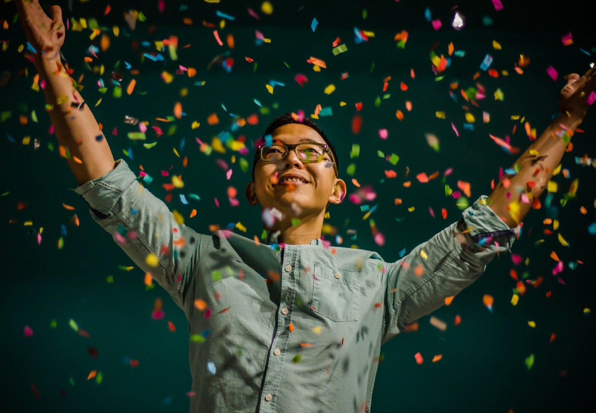